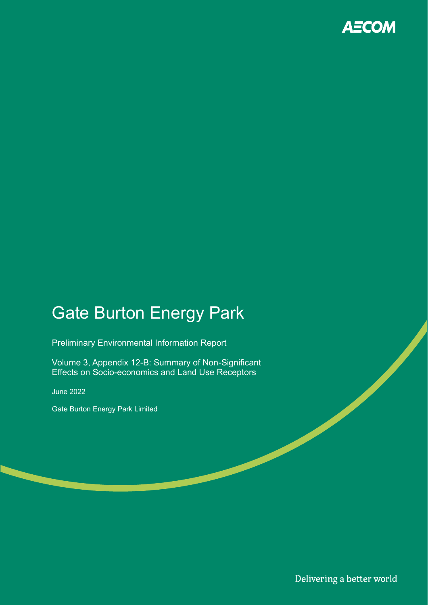

# Gate Burton Energy Park

Preliminary Environmental Information Report

Volume 3, Appendix 12-B: Summary of Non-Significant Effects on Socio-economics and Land Use Receptors

June 2022

Gate Burton Energy Park Limited

Delivering a better world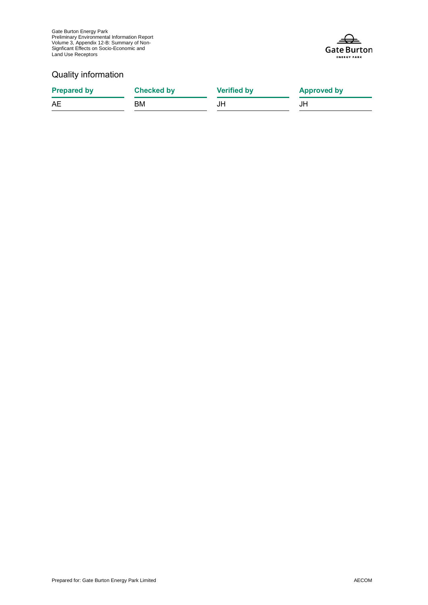Gate Burton Energy Park Preliminary Environmental Information Report Volume 3, Appendix 12-B: Summary of Non-Signficant Effects on Socio-Economic and Land Use Receptors



### Quality information

| <b>Prepared by</b> | Checked by | <b>Verified by</b> | <b>Approved by</b> |
|--------------------|------------|--------------------|--------------------|
| AE                 | BM.        | JH                 | JH                 |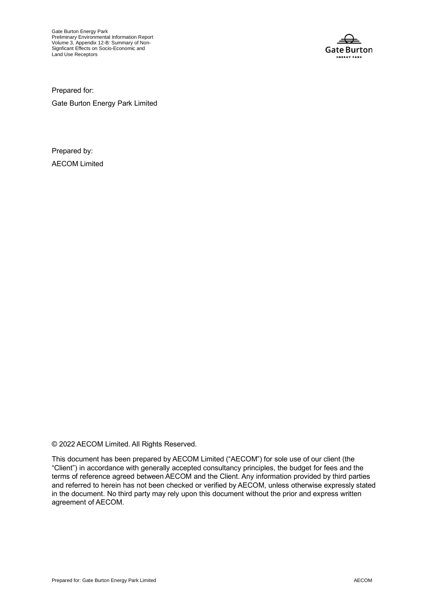Gate Burton Energy Park Preliminary Environmental Information Report Volume 3, Appendix 12-B: Summary of Non-Signficant Effects on Socio-Economic and Land Use Receptors



Prepared for:

Gate Burton Energy Park Limited

Prepared by: AECOM Limited

© 2022 AECOM Limited. All Rights Reserved.

This document has been prepared by AECOM Limited ("AECOM") for sole use of our client (the "Client") in accordance with generally accepted consultancy principles, the budget for fees and the terms of reference agreed between AECOM and the Client. Any information provided by third parties and referred to herein has not been checked or verified by AECOM, unless otherwise expressly stated in the document. No third party may rely upon this document without the prior and express written agreement of AECOM.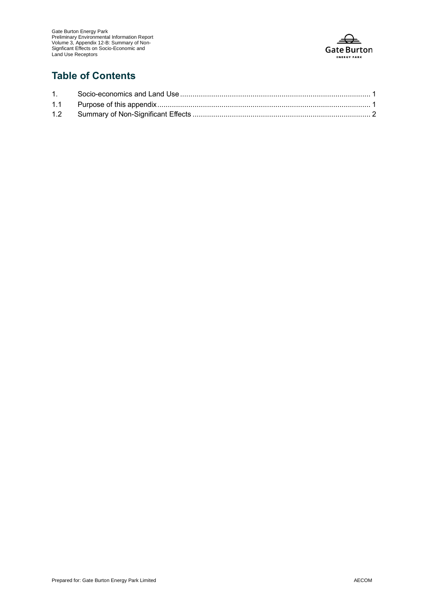

### **Table of Contents**

| 1. |  |
|----|--|
|    |  |
|    |  |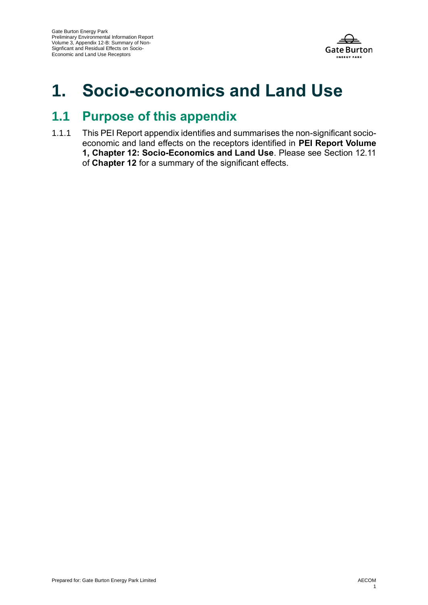

## **1. Socio-economics and Land Use**

### **1.1 Purpose of this appendix**

1.1.1 This PEI Report appendix identifies and summarises the non-significant socioeconomic and land effects on the receptors identified in **PEI Report Volume 1, Chapter 12: Socio-Economics and Land Use**. Please see Section 12.11 of **Chapter 12** for a summary of the significant effects.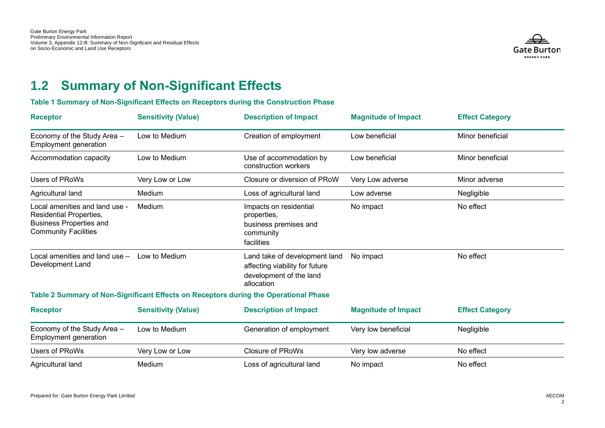

## **1.2 Summary of Non-Significant Effects**

#### **Table 1 Summary of Non-Significant Effects on Receptors during the Construction Phase**

| <b>Receptor</b>                                                                                                                   | <b>Sensitivity (Value)</b> | <b>Description of Impact</b>                                                                             | <b>Magnitude of Impact</b> | <b>Effect Category</b> |
|-----------------------------------------------------------------------------------------------------------------------------------|----------------------------|----------------------------------------------------------------------------------------------------------|----------------------------|------------------------|
| Economy of the Study Area -<br>Employment generation                                                                              | Low to Medium              | Creation of employment                                                                                   | Low beneficial             | Minor beneficial       |
| Accommodation capacity                                                                                                            | Low to Medium              | Use of accommodation by<br>construction workers                                                          | Low beneficial             | Minor beneficial       |
| <b>Users of PRoWs</b>                                                                                                             | Very Low or Low            | Closure or diversion of PRoW                                                                             | Very Low adverse           | Minor adverse          |
| Agricultural land                                                                                                                 | Medium                     | Loss of agricultural land                                                                                | Low adverse                | Negligible             |
| Local amenities and land use -<br><b>Residential Properties,</b><br><b>Business Properties and</b><br><b>Community Facilities</b> | Medium                     | Impacts on residential<br>properties,<br>business premises and<br>community<br>facilities                | No impact                  | No effect              |
| Local amenities and land use -<br>Development Land                                                                                | Low to Medium              | Land take of development land<br>affecting viability for future<br>development of the land<br>allocation | No impact                  | No effect              |
|                                                                                                                                   |                            | Table 2 Summary of Non-Significant Effects on Receptors during the Operational Phase                     |                            |                        |
| <b>Receptor</b>                                                                                                                   | <b>Sensitivity (Value)</b> | <b>Description of Impact</b>                                                                             | <b>Magnitude of Impact</b> | <b>Effect Category</b> |
| Economy of the Study Area -<br><b>Employment generation</b>                                                                       | Low to Medium              | Generation of employment                                                                                 | Very low beneficial        | Negligible             |
| <b>Users of PRoWs</b>                                                                                                             | Very Low or Low            | <b>Closure of PRoWs</b>                                                                                  | Very low adverse           | No effect              |
| Agricultural land                                                                                                                 | Medium                     | Loss of agricultural land                                                                                | No impact                  | No effect              |